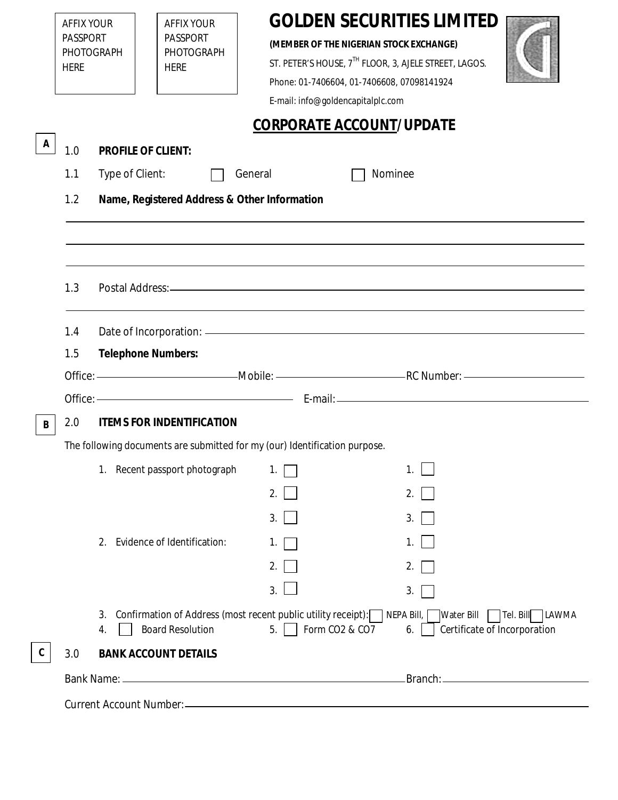|   | <b>AFFIX YOUR</b><br><b>PASSPORT</b><br>PHOTOGRAPH<br><b>HERE</b>                                   |                                                                            | <b>AFFIX YOUR</b><br><b>PASSPORT</b><br>PHOTOGRAPH<br><b>HERE</b> | (MEMBER OF THE NIGERIAN STOCK EXCHANGE)<br>Phone: 01-7406604, 01-7406608, 07098141924<br>E-mail: info@goldencapitalplc.com | <b>GOLDEN SECURITIES LIMITED</b><br>ST. PETER'S HOUSE, 7TH FLOOR, 3, AJELE STREET, LAGOS. |  |  |  |  |  |  |
|---|-----------------------------------------------------------------------------------------------------|----------------------------------------------------------------------------|-------------------------------------------------------------------|----------------------------------------------------------------------------------------------------------------------------|-------------------------------------------------------------------------------------------|--|--|--|--|--|--|
|   | <b>CORPORATE ACCOUNT/UPDATE</b>                                                                     |                                                                            |                                                                   |                                                                                                                            |                                                                                           |  |  |  |  |  |  |
| A | 1.0                                                                                                 | <b>PROFILE OF CLIENT:</b>                                                  |                                                                   |                                                                                                                            |                                                                                           |  |  |  |  |  |  |
|   | Type of Client:<br>General<br>Nominee<br>1.1<br>1.2<br>Name, Registered Address & Other Information |                                                                            |                                                                   |                                                                                                                            |                                                                                           |  |  |  |  |  |  |
|   |                                                                                                     |                                                                            |                                                                   |                                                                                                                            |                                                                                           |  |  |  |  |  |  |
|   |                                                                                                     |                                                                            |                                                                   |                                                                                                                            |                                                                                           |  |  |  |  |  |  |
|   |                                                                                                     |                                                                            |                                                                   |                                                                                                                            |                                                                                           |  |  |  |  |  |  |
|   |                                                                                                     |                                                                            |                                                                   |                                                                                                                            |                                                                                           |  |  |  |  |  |  |
|   | 1.3                                                                                                 |                                                                            |                                                                   |                                                                                                                            |                                                                                           |  |  |  |  |  |  |
|   | 1.4                                                                                                 |                                                                            |                                                                   |                                                                                                                            |                                                                                           |  |  |  |  |  |  |
|   | 1.5                                                                                                 | <b>Telephone Numbers:</b>                                                  |                                                                   |                                                                                                                            |                                                                                           |  |  |  |  |  |  |
|   |                                                                                                     |                                                                            |                                                                   |                                                                                                                            |                                                                                           |  |  |  |  |  |  |
|   |                                                                                                     |                                                                            |                                                                   |                                                                                                                            |                                                                                           |  |  |  |  |  |  |
| B | <b>ITEMS FOR INDENTIFICATION</b><br>2.0                                                             |                                                                            |                                                                   |                                                                                                                            |                                                                                           |  |  |  |  |  |  |
|   |                                                                                                     | The following documents are submitted for my (our) Identification purpose. |                                                                   |                                                                                                                            |                                                                                           |  |  |  |  |  |  |
|   |                                                                                                     |                                                                            | 1. Recent passport photograph                                     |                                                                                                                            |                                                                                           |  |  |  |  |  |  |
|   |                                                                                                     |                                                                            |                                                                   | 2.                                                                                                                         | 2.                                                                                        |  |  |  |  |  |  |
|   |                                                                                                     |                                                                            |                                                                   | 3.                                                                                                                         | 3.                                                                                        |  |  |  |  |  |  |
|   |                                                                                                     |                                                                            | 2. Evidence of Identification:                                    | 1.                                                                                                                         | 1.                                                                                        |  |  |  |  |  |  |
|   |                                                                                                     |                                                                            |                                                                   | 2.                                                                                                                         | 2.                                                                                        |  |  |  |  |  |  |
|   |                                                                                                     |                                                                            |                                                                   | 3.                                                                                                                         | 3.                                                                                        |  |  |  |  |  |  |
|   |                                                                                                     | 3.<br>4.                                                                   | <b>Board Resolution</b>                                           | Confirmation of Address (most recent public utility receipt): NEPA Bill,<br>Form CO2 & CO7<br>5.                           | <b>Water Bill</b><br>Tel. Bill<br><b>LAWMA</b><br>Certificate of Incorporation<br>6.      |  |  |  |  |  |  |
|   | 3.0                                                                                                 |                                                                            | <b>BANK ACCOUNT DETAILS</b>                                       |                                                                                                                            |                                                                                           |  |  |  |  |  |  |
|   |                                                                                                     |                                                                            |                                                                   |                                                                                                                            |                                                                                           |  |  |  |  |  |  |
|   |                                                                                                     |                                                                            |                                                                   |                                                                                                                            |                                                                                           |  |  |  |  |  |  |